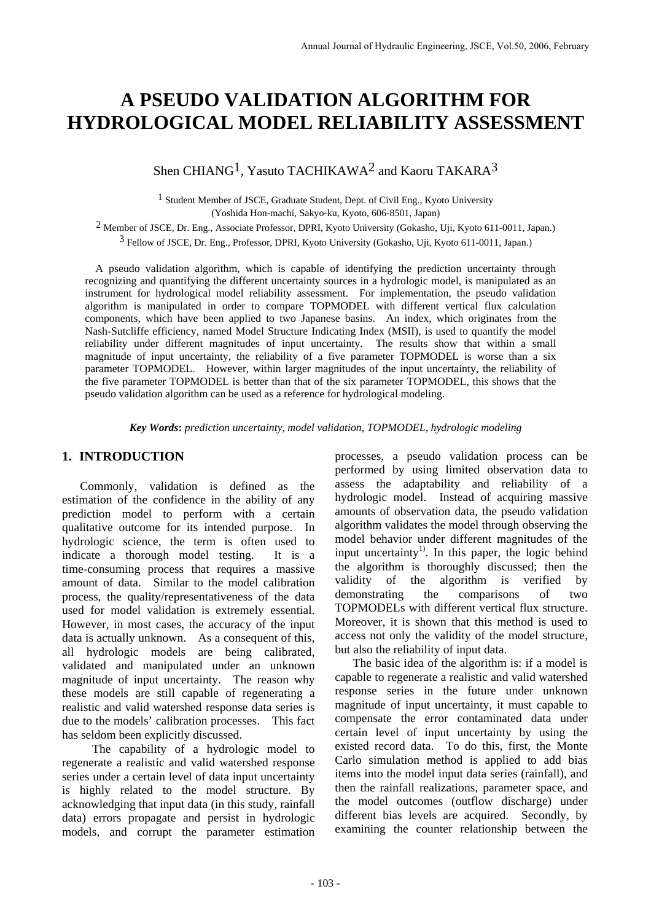# **A PSEUDO VALIDATION ALGORITHM FOR HYDROLOGICAL MODEL RELIABILITY ASSESSMENT**

Shen CHIANG<sup>1</sup>, Yasuto TACHIKAWA<sup>2</sup> and Kaoru TAKARA<sup>3</sup>

1 Student Member of JSCE, Graduate Student, Dept. of Civil Eng., Kyoto University (Yoshida Hon-machi, Sakyo-ku, Kyoto, 606-8501, Japan)

2 Member of JSCE, Dr. Eng., Associate Professor, DPRI, Kyoto University (Gokasho, Uji, Kyoto 611-0011, Japan.) 3 Fellow of JSCE, Dr. Eng., Professor, DPRI, Kyoto University (Gokasho, Uji, Kyoto 611-0011, Japan.)

A pseudo validation algorithm, which is capable of identifying the prediction uncertainty through recognizing and quantifying the different uncertainty sources in a hydrologic model, is manipulated as an instrument for hydrological model reliability assessment. For implementation, the pseudo validation algorithm is manipulated in order to compare TOPMODEL with different vertical flux calculation components, which have been applied to two Japanese basins. An index, which originates from the Nash-Sutcliffe efficiency, named Model Structure Indicating Index (MSII), is used to quantify the model reliability under different magnitudes of input uncertainty. The results show that within a small magnitude of input uncertainty, the reliability of a five parameter TOPMODEL is worse than a six parameter TOPMODEL. However, within larger magnitudes of the input uncertainty, the reliability of the five parameter TOPMODEL is better than that of the six parameter TOPMODEL, this shows that the pseudo validation algorithm can be used as a reference for hydrological modeling.

*Key Words***:** *prediction uncertainty, model validation, TOPMODEL, hydrologic modeling*

# **1. INTRODUCTION**

Commonly, validation is defined as the estimation of the confidence in the ability of any prediction model to perform with a certain qualitative outcome for its intended purpose. In hydrologic science, the term is often used to indicate a thorough model testing. It is a time-consuming process that requires a massive amount of data. Similar to the model calibration process, the quality/representativeness of the data used for model validation is extremely essential. However, in most cases, the accuracy of the input data is actually unknown. As a consequent of this, all hydrologic models are being calibrated, validated and manipulated under an unknown magnitude of input uncertainty. The reason why these models are still capable of regenerating a realistic and valid watershed response data series is due to the models' calibration processes. This fact has seldom been explicitly discussed.

 The capability of a hydrologic model to regenerate a realistic and valid watershed response series under a certain level of data input uncertainty is highly related to the model structure. By acknowledging that input data (in this study, rainfall data) errors propagate and persist in hydrologic models, and corrupt the parameter estimation

processes, a pseudo validation process can be performed by using limited observation data to assess the adaptability and reliability of a hydrologic model. Instead of acquiring massive amounts of observation data, the pseudo validation algorithm validates the model through observing the model behavior under different magnitudes of the input uncertainty<sup>1)</sup>. In this paper, the logic behind the algorithm is thoroughly discussed; then the validity of the algorithm is verified by demonstrating the comparisons of two TOPMODELs with different vertical flux structure. Moreover, it is shown that this method is used to access not only the validity of the model structure, but also the reliability of input data.

The basic idea of the algorithm is: if a model is capable to regenerate a realistic and valid watershed response series in the future under unknown magnitude of input uncertainty, it must capable to compensate the error contaminated data under certain level of input uncertainty by using the existed record data. To do this, first, the Monte Carlo simulation method is applied to add bias items into the model input data series (rainfall), and then the rainfall realizations, parameter space, and the model outcomes (outflow discharge) under different bias levels are acquired. Secondly, by examining the counter relationship between the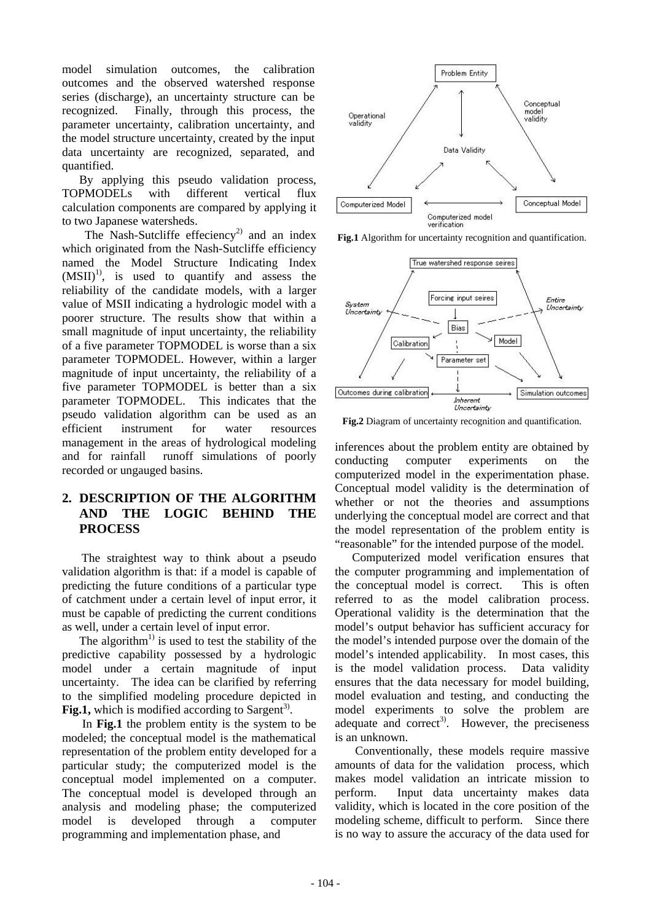model simulation outcomes, the calibration outcomes and the observed watershed response series (discharge), an uncertainty structure can be recognized. Finally, through this process, the parameter uncertainty, calibration uncertainty, and the model structure uncertainty, created by the input data uncertainty are recognized, separated, and quantified.

By applying this pseudo validation process, TOPMODELs with different vertical flux calculation components are compared by applying it to two Japanese watersheds.

The Nash-Sutcliffe effeciency<sup>2)</sup> and an index which originated from the Nash-Sutcliffe efficiency named the Model Structure Indicating Index  $(MSII)^{1}$ , is used to quantify and assess the reliability of the candidate models, with a larger value of MSII indicating a hydrologic model with a poorer structure. The results show that within a small magnitude of input uncertainty, the reliability of a five parameter TOPMODEL is worse than a six parameter TOPMODEL. However, within a larger magnitude of input uncertainty, the reliability of a five parameter TOPMODEL is better than a six parameter TOPMODEL. This indicates that the pseudo validation algorithm can be used as an efficient instrument for water resources management in the areas of hydrological modeling and for rainfall runoff simulations of poorly recorded or ungauged basins.

# **2. DESCRIPTION OF THE ALGORITHM AND THE LOGIC BEHIND THE PROCESS**

The straightest way to think about a pseudo validation algorithm is that: if a model is capable of predicting the future conditions of a particular type of catchment under a certain level of input error, it must be capable of predicting the current conditions as well, under a certain level of input error.

The algorithm<sup>1)</sup> is used to test the stability of the predictive capability possessed by a hydrologic model under a certain magnitude of input uncertainty. The idea can be clarified by referring to the simplified modeling procedure depicted in **Fig.1,** which is modified according to Sargent<sup>3)</sup>.

In **Fig.1** the problem entity is the system to be modeled; the conceptual model is the mathematical representation of the problem entity developed for a particular study; the computerized model is the conceptual model implemented on a computer. The conceptual model is developed through an analysis and modeling phase; the computerized model is developed through a computer programming and implementation phase, and



**Fig.1** Algorithm for uncertainty recognition and quantification.



**Fig.2** Diagram of uncertainty recognition and quantification.

inferences about the problem entity are obtained by conducting computer experiments on the computerized model in the experimentation phase. Conceptual model validity is the determination of whether or not the theories and assumptions underlying the conceptual model are correct and that the model representation of the problem entity is "reasonable" for the intended purpose of the model.

Computerized model verification ensures that the computer programming and implementation of the conceptual model is correct. This is often referred to as the model calibration process. Operational validity is the determination that the model's output behavior has sufficient accuracy for the model's intended purpose over the domain of the model's intended applicability. In most cases, this is the model validation process. Data validity ensures that the data necessary for model building, model evaluation and testing, and conducting the model experiments to solve the problem are adequate and correct<sup>3)</sup>. However, the preciseness is an unknown.

Conventionally, these models require massive amounts of data for the validation process, which makes model validation an intricate mission to perform. Input data uncertainty makes data validity, which is located in the core position of the modeling scheme, difficult to perform. Since there is no way to assure the accuracy of the data used for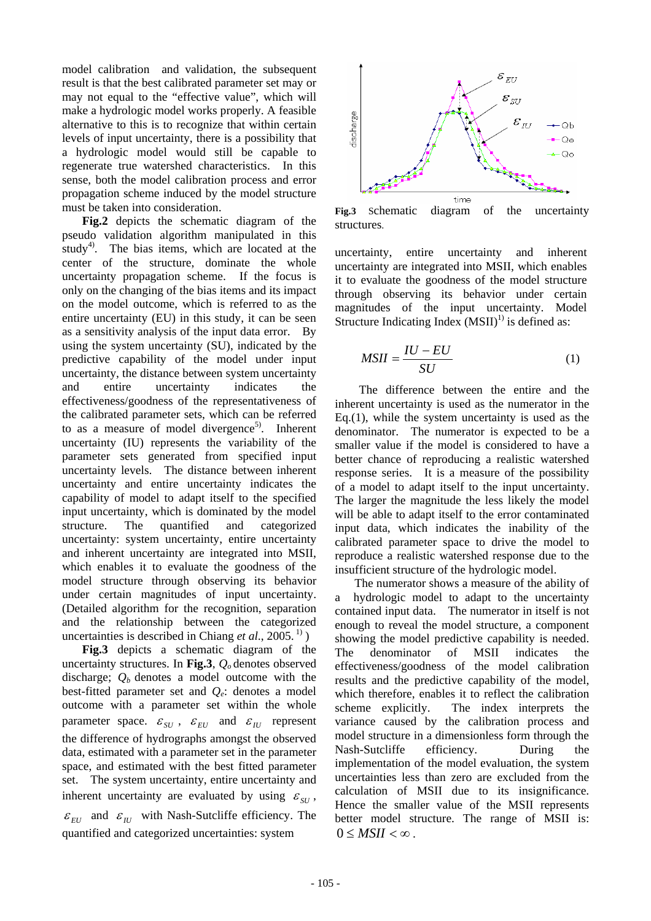model calibration and validation, the subsequent result is that the best calibrated parameter set may or may not equal to the "effective value", which will make a hydrologic model works properly. A feasible alternative to this is to recognize that within certain levels of input uncertainty, there is a possibility that a hydrologic model would still be capable to regenerate true watershed characteristics. In this sense, both the model calibration process and error propagation scheme induced by the model structure must be taken into consideration.

**Fig.2** depicts the schematic diagram of the pseudo validation algorithm manipulated in this study<sup>4)</sup>. The bias items, which are located at the center of the structure, dominate the whole uncertainty propagation scheme. If the focus is only on the changing of the bias items and its impact on the model outcome, which is referred to as the entire uncertainty (EU) in this study, it can be seen as a sensitivity analysis of the input data error. By using the system uncertainty (SU), indicated by the predictive capability of the model under input uncertainty, the distance between system uncertainty and entire uncertainty indicates the effectiveness/goodness of the representativeness of the calibrated parameter sets, which can be referred to as a measure of model divergence<sup>5)</sup>. Inherent uncertainty (IU) represents the variability of the parameter sets generated from specified input uncertainty levels. The distance between inherent uncertainty and entire uncertainty indicates the capability of model to adapt itself to the specified input uncertainty, which is dominated by the model structure. The quantified and categorized uncertainty: system uncertainty, entire uncertainty and inherent uncertainty are integrated into MSII, which enables it to evaluate the goodness of the model structure through observing its behavior under certain magnitudes of input uncertainty. (Detailed algorithm for the recognition, separation and the relationship between the categorized uncertainties is described in Chiang *et al.*, 2005.<sup>1)</sup>)

**Fig.3** depicts a schematic diagram of the uncertainty structures. In Fig.3,  $Q_0$  denotes observed discharge;  $O<sub>b</sub>$  denotes a model outcome with the best-fitted parameter set and *Qe*: denotes a model outcome with a parameter set within the whole parameter space.  $\varepsilon_{SU}$ ,  $\varepsilon_{EU}$  and  $\varepsilon_{IU}$  represent the difference of hydrographs amongst the observed data, estimated with a parameter set in the parameter space, and estimated with the best fitted parameter set. The system uncertainty, entire uncertainty and inherent uncertainty are evaluated by using  $\varepsilon_{\text{SU}}$ ,  $\mathcal{E}_{\text{E}U}$  and  $\mathcal{E}_{\text{H}U}$  with Nash-Sutcliffe efficiency. The quantified and categorized uncertainties: system



**Fig.3** Schematic diagram of the uncertainty structures.

uncertainty, entire uncertainty and inherent uncertainty are integrated into MSII, which enables it to evaluate the goodness of the model structure through observing its behavior under certain magnitudes of the input uncertainty. Model Structure Indicating Index  $(MSII)^{1}$  is defined as:

$$
MSII = \frac{IU - EU}{SU} \tag{1}
$$

The difference between the entire and the inherent uncertainty is used as the numerator in the Eq.(1), while the system uncertainty is used as the denominator. The numerator is expected to be a smaller value if the model is considered to have a better chance of reproducing a realistic watershed response series. It is a measure of the possibility of a model to adapt itself to the input uncertainty. The larger the magnitude the less likely the model will be able to adapt itself to the error contaminated input data, which indicates the inability of the calibrated parameter space to drive the model to reproduce a realistic watershed response due to the insufficient structure of the hydrologic model.

The numerator shows a measure of the ability of a hydrologic model to adapt to the uncertainty contained input data. The numerator in itself is not enough to reveal the model structure, a component showing the model predictive capability is needed. The denominator of MSII indicates the effectiveness/goodness of the model calibration results and the predictive capability of the model, which therefore, enables it to reflect the calibration scheme explicitly. The index interprets the variance caused by the calibration process and model structure in a dimensionless form through the Nash-Sutcliffe efficiency. During the implementation of the model evaluation, the system uncertainties less than zero are excluded from the calculation of MSII due to its insignificance. Hence the smaller value of the MSII represents better model structure. The range of MSII is:  $0 \leq MSII \leq \infty$ .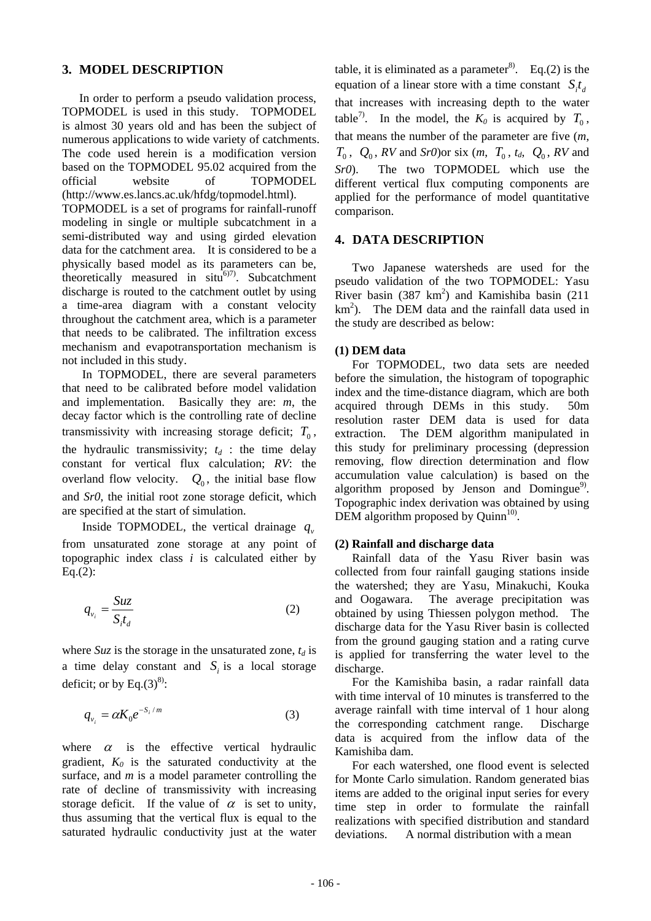## **3. MODEL DESCRIPTION**

In order to perform a pseudo validation process, TOPMODEL is used in this study. TOPMODEL is almost 30 years old and has been the subject of numerous applications to wide variety of catchments. The code used herein is a modification version based on the TOPMODEL 95.02 acquired from the official website of TOPMODEL (http://www.es.lancs.ac.uk/hfdg/topmodel.html). TOPMODEL is a set of programs for rainfall-runoff modeling in single or multiple subcatchment in a semi-distributed way and using girded elevation data for the catchment area. It is considered to be a physically based model as its parameters can be, theoretically measured in  $situ<sup>6)7</sup>$ </sub>. Subcatchment discharge is routed to the catchment outlet by using a time-area diagram with a constant velocity throughout the catchment area, which is a parameter that needs to be calibrated. The infiltration excess mechanism and evapotransportation mechanism is not included in this study.

In TOPMODEL, there are several parameters that need to be calibrated before model validation and implementation. Basically they are: *m*, the decay factor which is the controlling rate of decline transmissivity with increasing storage deficit;  $T_0$ , the hydraulic transmissivity;  $t_d$  : the time delay constant for vertical flux calculation; *RV*: the overland flow velocity.  $Q_0$ , the initial base flow and *Sr0*, the initial root zone storage deficit, which are specified at the start of simulation.

Inside TOPMODEL, the vertical drainage  $q_v$ from unsaturated zone storage at any point of topographic index class *i* is calculated either by  $Eq.(2):$ 

$$
q_{v_i} = \frac{Suz}{S_it_d} \tag{2}
$$

where  $Suz$  is the storage in the unsaturated zone,  $t_d$  is a time delay constant and  $S_i$  is a local storage deficit; or by Eq. $(3)^{8}$ :

$$
q_{v_i} = \alpha K_0 e^{-S_i/m} \tag{3}
$$

where  $\alpha$  is the effective vertical hydraulic gradient,  $K_0$  is the saturated conductivity at the surface, and *m* is a model parameter controlling the rate of decline of transmissivity with increasing storage deficit. If the value of  $\alpha$  is set to unity, thus assuming that the vertical flux is equal to the saturated hydraulic conductivity just at the water table, it is eliminated as a parameter $8$ . Eq.(2) is the equation of a linear store with a time constant  $S_t t_d$ that increases with increasing depth to the water table<sup>7)</sup>. In the model, the  $K_0$  is acquired by  $T_0$ , that means the number of the parameter are five (*m*,  $T_0$ ,  $Q_0$ ,  $RV$  and  $SrO$ )or six  $(m, T_0, t_d, Q_0, RV)$  and *Sr0*). The two TOPMODEL which use the different vertical flux computing components are applied for the performance of model quantitative comparison.

## **4. DATA DESCRIPTION**

Two Japanese watersheds are used for the pseudo validation of the two TOPMODEL: Yasu River basin  $(387 \text{ km}^2)$  and Kamishiba basin  $(211)$  $km<sup>2</sup>$ ). The DEM data and the rainfall data used in the study are described as below:

#### **(1) DEM data**

For TOPMODEL, two data sets are needed before the simulation, the histogram of topographic index and the time-distance diagram, which are both acquired through DEMs in this study. 50m resolution raster DEM data is used for data extraction. The DEM algorithm manipulated in this study for preliminary processing (depression removing, flow direction determination and flow accumulation value calculation) is based on the algorithm proposed by Jenson and Domingue<sup>9)</sup>. Topographic index derivation was obtained by using DEM algorithm proposed by Quinn $^{10}$ .

## **(2) Rainfall and discharge data**

Rainfall data of the Yasu River basin was collected from four rainfall gauging stations inside the watershed; they are Yasu, Minakuchi, Kouka and Oogawara. The average precipitation was obtained by using Thiessen polygon method. The discharge data for the Yasu River basin is collected from the ground gauging station and a rating curve is applied for transferring the water level to the discharge.

For the Kamishiba basin, a radar rainfall data with time interval of 10 minutes is transferred to the average rainfall with time interval of 1 hour along the corresponding catchment range. Discharge data is acquired from the inflow data of the Kamishiba dam.

For each watershed, one flood event is selected for Monte Carlo simulation. Random generated bias items are added to the original input series for every time step in order to formulate the rainfall realizations with specified distribution and standard deviations. A normal distribution with a mean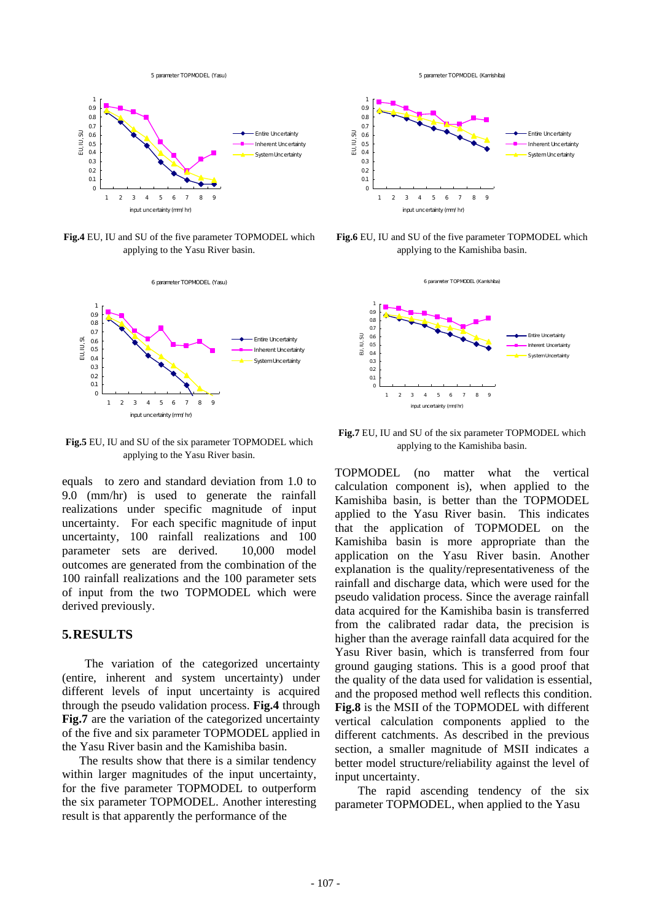

**Fig.4** EU, IU and SU of the five parameter TOPMODEL which applying to the Yasu River basin.



**Fig.5** EU, IU and SU of the six parameter TOPMODEL which applying to the Yasu River basin.

equals to zero and standard deviation from 1.0 to 9.0 (mm/hr) is used to generate the rainfall realizations under specific magnitude of input uncertainty. For each specific magnitude of input uncertainty, 100 rainfall realizations and 100 parameter sets are derived. 10,000 model outcomes are generated from the combination of the 100 rainfall realizations and the 100 parameter sets of input from the two TOPMODEL which were derived previously.

## **5.RESULTS**

The variation of the categorized uncertainty (entire, inherent and system uncertainty) under different levels of input uncertainty is acquired through the pseudo validation process. **Fig.4** through **Fig.7** are the variation of the categorized uncertainty of the five and six parameter TOPMODEL applied in the Yasu River basin and the Kamishiba basin.

The results show that there is a similar tendency within larger magnitudes of the input uncertainty, for the five parameter TOPMODEL to outperform the six parameter TOPMODEL. Another interesting result is that apparently the performance of the

5 parameter TOPMODEL (Kamishiba)



**Fig.6** EU, IU and SU of the five parameter TOPMODEL which applying to the Kamishiba basin.



**Fig.7** EU, IU and SU of the six parameter TOPMODEL which applying to the Kamishiba basin.

TOPMODEL (no matter what the vertical calculation component is), when applied to the Kamishiba basin, is better than the TOPMODEL applied to the Yasu River basin. This indicates that the application of TOPMODEL on the Kamishiba basin is more appropriate than the application on the Yasu River basin. Another explanation is the quality/representativeness of the rainfall and discharge data, which were used for the pseudo validation process. Since the average rainfall data acquired for the Kamishiba basin is transferred from the calibrated radar data, the precision is higher than the average rainfall data acquired for the Yasu River basin, which is transferred from four ground gauging stations. This is a good proof that the quality of the data used for validation is essential, and the proposed method well reflects this condition. **Fig.8** is the MSII of the TOPMODEL with different vertical calculation components applied to the different catchments. As described in the previous section, a smaller magnitude of MSII indicates a better model structure/reliability against the level of input uncertainty.

The rapid ascending tendency of the six parameter TOPMODEL, when applied to the Yasu